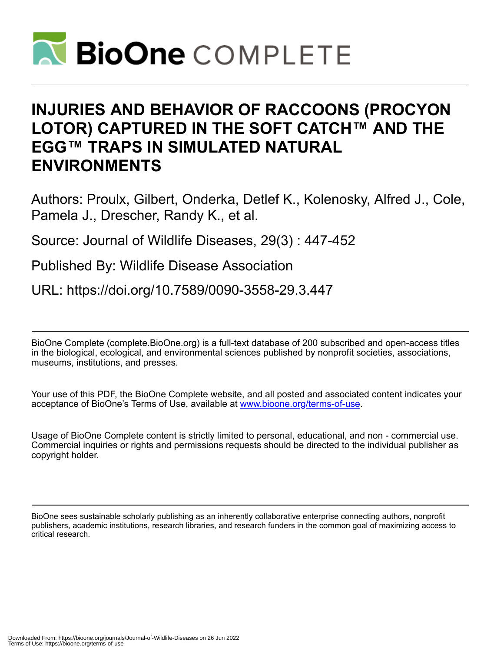

# **INJURIES AND BEHAVIOR OF RACCOONS (PROCYON LOTOR) CAPTURED IN THE SOFT CATCH™ AND THE EGG™ TRAPS IN SIMULATED NATURAL ENVIRONMENTS**

Authors: Proulx, Gilbert, Onderka, Detlef K., Kolenosky, Alfred J., Cole, Pamela J., Drescher, Randy K., et al.

Source: Journal of Wildlife Diseases, 29(3) : 447-452

Published By: Wildlife Disease Association

URL: https://doi.org/10.7589/0090-3558-29.3.447

BioOne Complete (complete.BioOne.org) is a full-text database of 200 subscribed and open-access titles in the biological, ecological, and environmental sciences published by nonprofit societies, associations, museums, institutions, and presses.

Your use of this PDF, the BioOne Complete website, and all posted and associated content indicates your acceptance of BioOne's Terms of Use, available at www.bioone.org/terms-of-use.

Usage of BioOne Complete content is strictly limited to personal, educational, and non - commercial use. Commercial inquiries or rights and permissions requests should be directed to the individual publisher as copyright holder.

BioOne sees sustainable scholarly publishing as an inherently collaborative enterprise connecting authors, nonprofit publishers, academic institutions, research libraries, and research funders in the common goal of maximizing access to critical research.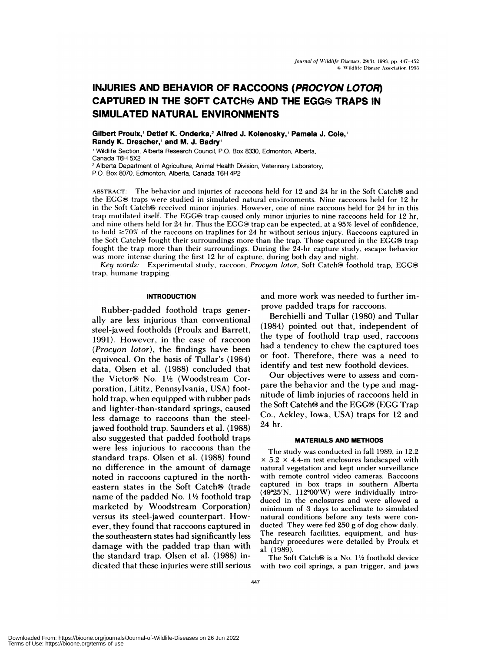# **INJURIES AND BEHAVIOR OF RACCOONS (PROCYON LOTOR) CAPTURED IN THE SOFT CATCH AND THE EGGS TRAPS IN SIMULATED NATURAL ENVIRONMENTS**

Gilbert **Proulx,' Detlef K. Onderka,2 Alfred J. Kolenosky, Pamela J. Cole,' Randy K.Drescher,' and M. J.** Badry

Wildlife Section, Alberta Research Council, P.O. Box 8330, Edmonton, Alberta, Canada T6H 5X2 <sup>2</sup> Alberta Department of Agriculture, Animal Health Division, Veterinary Laboratory,

P.O. Box 8070, Edmonton, Alberta, Canada T6H 4P2

ABSTRACT: The behavior and injuries of raccoons held for 12 and 24 hr in the Soft Catch $\Theta$  and the EGG® traps were studied in simulated natural environments. Nine raccoons held for 12 hr in the Soft Catch® received minor injuries. However, one of nine raccoons held for 24 hr in this trap mutilated itself. The EGG® trap caused only minor injuries to nine raccoons held for 12 hr, and nine others held for 24 hr. Thus the EGG® trap can be expected, at a 95% level of confidence,  $\text{to}$  hold  $\geq 70\%$  of the raccoons on traplines for 24 hr without serious injury. Raccoons captured in the Soft Catch® fought their surroundings more than the trap. Those captured in the EGG® trap fought the trap **more** than their surroundings. During the 24-hr capture study, escape behavior was **more** intense during the first 12 hr of capture, during both day and night.

*Key words:* Experimental study, raccoon, *Procyon lotor*, Soft Catch<sup>®</sup> foothold trap, EGG® trap, humane trapping.

# **INTRODUCTION**

Rubber-padded foothold traps generally are less injurious than conventional steel-jawed footholds (Proulx and Barrett, 1991). However, in the case of raccoon *(Procyon lotor),* the findings have been equivocal. On the basis of Tullar's (1984) data, Olsen et al. (1988) concluded that the Victor<sup>®</sup> No. 1½ (Woodstream Corporation, Lititz, Pennsylvania, USA) foothold trap, when equipped with rubber pads and lighter-than-standard springs, caused less damage to raccoons than the steeljawed foothold trap. Saunders et a!. (1988) also suggested that padded foothold traps were less injurious to raccoons than the standard traps. Olsen et al. (1988) found no difference in the amount of damage noted in raccoons captured in the northeastern states in the Soft Catch $\odot$  (trade name of the padded No.  $1\frac{1}{2}$  foothold trap marketed by Woodstream Corporation) versus its steel-jawed counterpart. However, they found that raccoons captured in the southeastern states had significantly less damage with the padded trap than with the standard trap. Olsen et al. (1988) indicated that these injuries were still serious and more work was needed to further improve padded traps for raccoons.

Berchielli and Tullar (1980) and Tullar (1984) pointed out that, independent of the type of foothold trap used, raccoons had a tendency to chew the captured toes or foot. Therefore, there was a need to identify and test new foothold devices.

Our objectives were to assess and com pare the behavior and the type and magnitude of limb injuries of raccoons held in the Soft Catch<sup>®</sup> and the EGG<sup>®</sup> (EGG Trap Co., Ackley, Iowa, USA) traps for 12 and 24 hr.

#### **MATERIALS AND METHODS**

The study was conducted in fall 1989, in 12.2  $\times$  5.2  $\times$  4.4-m test enclosures landscaped with natural vegetation and kept under surveillance with remote control video cameras. Raccoons captured in box traps in southern Alberta  $(49°25'N, 112°00'W)$  were individually introduced in the enclosures and were allowed a minimum of 3 days to acclimate to simulated natural conditions before any tests were con ducted. They were fed 250 g of dog chow daily. The research facilities, equipment, and husbandry procedures were detailed by Proulx et al. (1989).

The Soft Catch $\Theta$  is a No. 1½ foothold device with two coil springs, a pan trigger, and jaws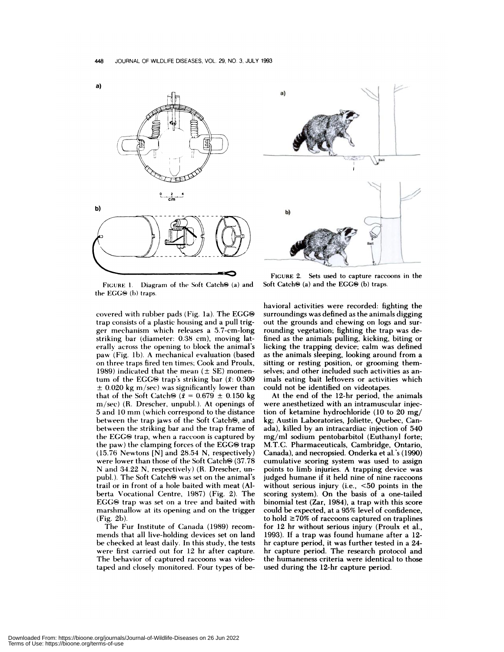



FIGURE 1. Diagram of the Soft Catch<sup>(a)</sup> and the EGG<sup>®</sup> (b) traps.

covered with rubber pads (Fig. 1a). The EGG $\circledast$ trap consists of a plastic housing and a pull trigger mechanism which **releases <sup>a</sup>** 5.7-cm-long striking bar (diameter: 0.38 cm), moving laterally across the **opening to** block the animal's paw (Fig. lb). A mechanical evaluation (based on three traps fired ten times; Cook and Proulx, 1989) indicated that the mean  $(\pm$  SE) momentum of the EGG<sup>®</sup> trap's striking bar ( $\bar{x}$ : 0.309  $\pm$  0.020 kg m/sec) was significantly lower than that of the Soft Catch<sup>( $\theta$ </sup>)  $(\bar{x} = 0.679 \pm 0.150 \text{ kg})$ **m/sec)** (R. Drescher, unpubl.). At openings of 5 and 10 mm (which **correspond to** the distance between the trap jaws of the Soft Catch®, and between the striking bar and the trap frame of the EGG $\Theta$  trap, when a raccoon is captured by **the paw)** the clamping forces of the EGG<sup>®</sup> trap (15.76 Newtons [N] and 28.54 N, **respectively)** were lower than those of the Soft Catch $\otimes$  (37.78 N and 34.22 N, respectively) (R. Drescher, un publ.). The Soft Catch $\odot$  was set on the animal's trail or in front of a hole baited with meat (Alberta Vocational Centre, 1987) (Fig. 2). The EGG<sup>®</sup> trap was set on a tree and baited with marshmallow at its opening and on the trigger (Fig. 2b).

The Fur Institute of Canada (1989) recom mends that all live-holding devices set on land be checked at least daily. In this study, the tests were first carried out for 12 hr after capture. The behavior of captured raccoons was videotaped and closely monitored. Four types of be-

**FIGURE** 2. **Sets used to capture raccoons in** the Soft Catch $\Theta$  (a) and the EGG $\Theta$  (b) traps.

havioral activities were recorded: fighting the surroundings was defined as the animals digging out the grounds and chewing on logs and surrounding vegetation; fighting the trap was defined as the animals pulling, kicking, biting or licking the trapping device; calm was defined as the animals sleeping, looking around from a **sitting or resting position, or grooming** themselves; and other included such activities as animals eating bait leftovers or activities which could not be identified on videotapes.

At the end of the 12-hr period, the animals were anesthetized with an intramuscular injection of ketamine hydrochloride (10 to 20 mg/ kg; Austin Laboratories, Joliette, Quebec, Canada), killed by an intracardiac injection of 540 mg/ml sodium pentobarbitol (Euthanyl forte; M.T.C. Pharmaceuticals, Cambridge, Ontario, Canada), and necropsied. Onderka et al's (1990) cumulative scoring system was used to assign points to limb injuries. A trapping device was judged humane if it held nine of nine raccoons without serious injury (i.e., <50 points in the scoring system). On the basis of a one-tailed binomial test (Zar, 1984), a trap with this score could be expected, at a 95% level of confidence, to hold  $\geq 70\%$  of raccoons captured on traplines for 12 hr without serious injury (Proulx et al., 1993). If a trap was found humane after a 12 hr capture period, it was further tested in a 24 hr capture period. The research protocol and the humaneness criteria were identical to those used during the 12-hr capture period.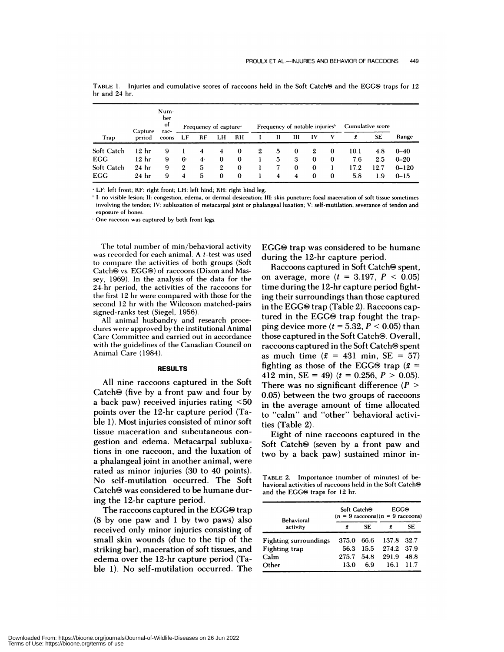|                   | Capture          | Num-<br>ber<br>of<br>rac- | Frequency of capture |                |                |          | Frequency of notable injuries <sup>6</sup> |   |             |          |          | Cumulative score |      |           |
|-------------------|------------------|---------------------------|----------------------|----------------|----------------|----------|--------------------------------------------|---|-------------|----------|----------|------------------|------|-----------|
| Trap              | period           | coons                     | LF                   | RF             | LH             | RH       |                                            | П | Ш           | IV       | v        | Ĩ                | SE   | Range     |
| <b>Soft Catch</b> | 12 <sub>hr</sub> | 9                         |                      | 4              | $\overline{4}$ | $\bf{0}$ | $\mathbf{2}$                               | 5 | 0           | 2        | 0        | 10.1             | 4.8  | $0 - 40$  |
| <b>EGG</b>        | 12 hr            | 9                         | -6                   | 4 <sup>c</sup> | $\bf{0}$       | $\bf{0}$ |                                            | 5 | 3           | $\bf{0}$ | $\bf{0}$ | 7.6              | 2.5  | $0 - 20$  |
| Soft Catch        | 24 <sub>hr</sub> | 9                         | $\mathbf{2}$         | 5              | $\mathbf{2}$   | $\Omega$ |                                            |   | $\mathbf 0$ | $\bf{0}$ |          | 17.2             | 12.7 | $0 - 120$ |
| EGG               | 24 <sub>hr</sub> | 9                         | 4                    | 5              | 0              | $\bf{0}$ |                                            | 4 | 4           | $\bf{0}$ | $\bf{0}$ | 5.8              | 1.9  | $0 - 15$  |

TABLE 1. Injuries and cumulative scores of raccoons held in the Soft Catch<sup>®</sup> and the EGG® traps for 12 hr and 24 hr.

LF: left front; RF: right front; LH: left hind; RH: right hind leg.

**"I:** no visible lesion; II: congestion, edema, or dermal desiccation; III: skin puncture; focal maceration of soft tissue sometimes involving the tendon; IV: subluxation of metacarpal joint or phalangeal luxation; V: self-mutilation; severance of tendon and exposure of bones.

One raccoon was captured by both front legs.

The total number of min/behavioral activity was recorded for each animal. A t-test was used to compare the activities of both groups (Soft Catch® vs. EGG®) of raccoons (Dixon and Massey, 1969). In the analysis of the data for the 24-hr period, the activities of the raccoons for the first 12 hr were compared with those for the second 12 hr with the Wilcoxon matched-pairs signed-ranks test (Siegel, 1956).

All animal husbandry and research procedures were approved by the institutional Animal Care Committee and carried out in accordance with the guidelines of the Canadian Council on Animal Care (1984).

#### **RESULTS**

All nine raccoons captured in the Soft Catch $\Theta$  (five by a front paw and four by a back paw) received injuries rating <50 points over the 12-hr capture period (Table 1). Most injuries consisted of minor soft tissue maceration and subcutaneous con gestion and edema. Metacarpal subluxations in one raccoon, and the luxation of a phalangeal joint in another animal, were rated as minor injuries (30 to 40 points). No self-mutilation occurred. The Soft Catch<sup>®</sup> was considered to be humane during the 12-hr capture period.

The raccoons captured in the  $EGG\otimes \text{trap}$ (8 by one paw and 1 by two paws) also received only minor injuries consisting of small skin wounds (due to the tip of the striking bar), maceration of soft tissues, and edema over the 12-hr capture period (Table 1). No self-mutilation occurred. The EGG<sup>®</sup> trap was considered to be humane during the 12-hr capture period.

Raccoons captured in Soft Catch<sup>®</sup> spent, on average, more  $(t = 3.197, P < 0.05)$ time during the 12-hr capture period fighting their surroundings than those captured in the EGG $\odot$  trap (Table 2). Raccoons captured in the EGG $\Theta$  trap fought the trapping device more  $(t = 5.32, P < 0.05)$  than those captured in the Soft Catch<sup>®</sup>. Overall, raccoons captured in the Soft Catch $\otimes$  spent as much time  $(\bar{x} = 431 \text{ min}, \text{SE} = 57)$ fighting as those of the EGG® trap ( $\bar{x}$  = 412 min, SE = 49)  $(t = 0.256, P > 0.05)$ . There was no significant difference *(P* > 0.05) between the two groups of raccoons in the average amount of time allocated to "calm" and "other" behavioral activities (Table 2).

Eight of nine raccoons captured in the Soft Catch<sup>®</sup> (seven by a front paw and two by a back paw) sustained minor in-

**TABLE** 2. Importance (number of minutes) of behavioral activities of raccoons held in the Soft Catch $\Theta$ and the EGG<sup>®</sup> traps for 12 hr.

| <b>Behavioral</b>            | Soft Catch <sup>o</sup> |      | EGCO<br>$(n = 9 \text{ raccons})(n = 9 \text{ raccons})$ |       |  |  |
|------------------------------|-------------------------|------|----------------------------------------------------------|-------|--|--|
| activity                     | f                       | SF.  |                                                          | SE    |  |  |
| <b>Fighting surroundings</b> | 375.0                   | 66.6 | 137.8                                                    | -32.7 |  |  |
| <b>Fighting trap</b>         | 56.3                    | 15.5 | 274.2 37.9                                               |       |  |  |
| Calm                         | 275.7                   | 54.8 | 291.9                                                    | 48.8  |  |  |
| Other                        | 13.0                    | 69   | 16.1                                                     | 117   |  |  |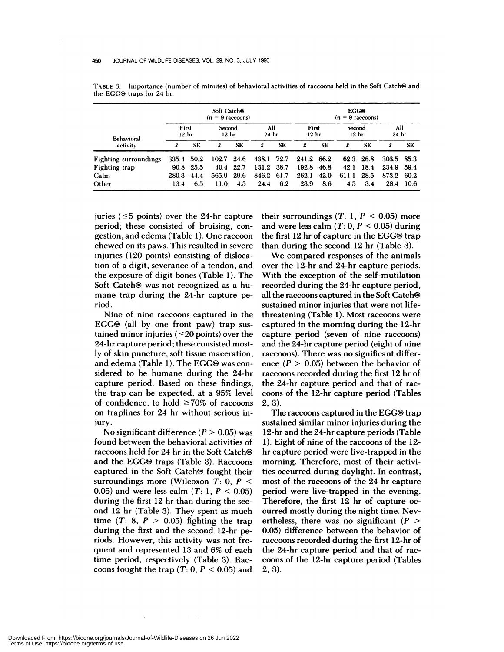|                              | Soft Catch <sup>O</sup><br>$(n = 9 \text{ raccoons})$ |           |              |                            |            |                         |            | <b>ECCO</b><br>$(n = 9 \text{ raccoons})$ |       |                            |            |                         |  |  |
|------------------------------|-------------------------------------------------------|-----------|--------------|----------------------------|------------|-------------------------|------------|-------------------------------------------|-------|----------------------------|------------|-------------------------|--|--|
| Behavioral                   | First<br>12 <sub>hr</sub>                             |           |              | Second<br>12 <sub>hr</sub> |            | All<br>24 <sub>hr</sub> |            | First<br>12 <sub>hr</sub>                 |       | Second<br>12 <sub>hr</sub> |            | All<br>24 <sub>hr</sub> |  |  |
| activity                     | f.                                                    | <b>SE</b> | f            | <b>SE</b>                  | £          | <b>SE</b>               | Ŧ          | <b>SE</b>                                 | f     | <b>SE</b>                  | f          | <b>SE</b>               |  |  |
| <b>Fighting surroundings</b> | 335.4 50.2                                            |           | $102.7$ 24.6 |                            | 438.1 72.7 |                         | 241.2 66.2 |                                           |       | 62.3 26.8                  | 303.5 85.3 |                         |  |  |
| Fighting trap                | 90.8                                                  | 25.5      | 40.4         | 22.7                       | 131.2      | 38.7                    | 192.8      | 46.8                                      | 42.1  | 18.4                       | 234.9      | - 59.4                  |  |  |
| Calm                         | 280.3                                                 | 44.4      | 565.9        | 29.6                       | 846.2      | 61.7                    | 262.1      | 42.0                                      | 611.1 | 28.5                       | 873.2      | 60.2                    |  |  |
| Other                        | 13.4                                                  | 6.5       | 11.0         | 4.5                        | 24.4       | 6.2                     | 23.9       | 8.6                                       | 4.5   | 3.4                        | 28.4       | -10.6                   |  |  |

TABLE 3. Importance (number of minutes) of behavioral activities of raccoons held in the Soft Catch<sup>@</sup> and the EGG<sup>®</sup> traps for 24 hr.

juries ( $\leq$ 5 points) over the 24-hr capture period; these consisted of bruising, con gestion, and edema (Table 1). One raccoon chewed on its paws. This resulted in severe injuries (120 points) consisting of dislocation of a digit, severance of a tendon, and the exposure of digit bones (Table 1). The Soft Catch<sup>®</sup> was not recognized as a humane trap during the 24-hr capture period.

Nine of nine raccoons captured in the EGG $\odot$  (all by one front paw) trap sustained minor injuries ( $\leq$ 20 points) over the 24-hr capture period; these consisted mostly of skin puncture, soft tissue maceration, and edema (Table 1). The EGG® was considered to be humane during the 24-hr capture period. Based on these findings, the trap can be expected, at a 95% level of confidence, to hold  $\geq 70\%$  of raccoons on traplines for 24 hr without serious injury.

No significant difference  $(P > 0.05)$  was found between the behavioral activities of raccoons held for 24 hr in the Soft Catch $\odot$ and the EGG<sup>®</sup> traps (Table 3). Raccoons captured in the Soft Catch $\Theta$  fought their surroundings more (Wilcoxon *T:* 0, *P* < 0.05) and were less calm  $(T: 1, P < 0.05)$ during the first 12 hr than during the second 12 hr (Table 3). They spent as much time  $(T: 8, P > 0.05)$  fighting the trap during the first and the second 12-hr periods. However, this activity was not frequent and represented 13 and 6% of each time period, respectively (Table 3). Rac coons fought the trap  $(T: 0, P < 0.05)$  and

their surroundings  $(T: 1, P < 0.05)$  more and were less calm  $(T: 0, P < 0.05)$  during the first  $12$  hr of capture in the EGG $\Theta$  trap than during the second 12 hr (Table 3).

We compared responses of the animals over the 12-hr and 24-hr capture periods. With the exception of the self-mutilation recorded during the 24-hr capture period, all the raccoons captured in the Soft Catch® sustained minor injuries that were not lifethreatening (Table 1). Most raccoons were captured in the morning during the 12-hr capture period (seven of nine raccoons) and the 24-hr capture period (eight of nine raccoons). There was no significant difference  $(P > 0.05)$  between the behavior of raccoons recorded during the first 12 hr of the 24-hr capture period and that of rac coons of the 12-hr capture period (Tables 2, 3).

The raccoons captured in the EGG $\odot$  trap sustained similar minor injuries during the 12-hr and the 24-hr capture periods (Table 1). Eight of nine of the raccoons of the 12 hr capture period were live-trapped in the morning. Therefore, most of their activities occurred during daylight. In contrast, most of the raccoons of the 24-hr capture period were live-trapped in the evening. Therefore, the first 12 hr of capture occurred mostly during the night time. Nevertheless, there was no significant *(P* > 0.05) difference between the behavior of raccoons recorded during the first 12-hr of the 24-hr capture period and that of rac coons of the 12-hr capture period (Tables 2, 3).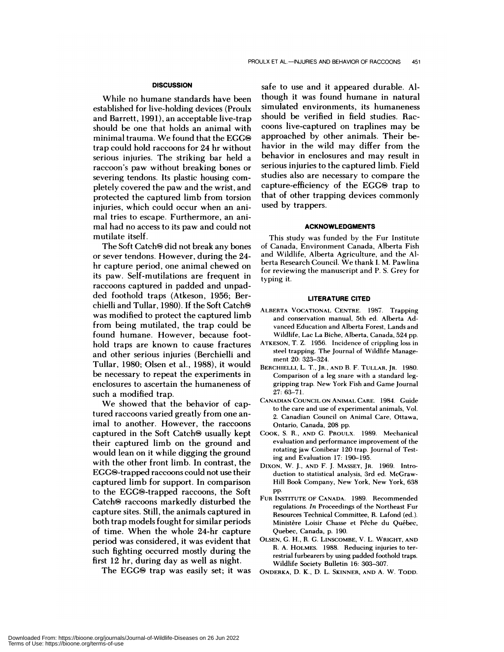# **DISCUSSION**

While no humane standards have been established for live-holding devices (Proulx and Barrett, 1991), an acceptable live-trap should be one that holds an animal with minimal trauma. We found that the EGG $\otimes$ trap could hold raccoons for 24 hr without serious injuries. The striking bar held a raccoon's paw without breaking bones or severing tendons. Its plastic housing com pletely covered the paw and the wrist, and protected the captured limb from torsion injuries, which could occur when an animal tries to escape. Furthermore, an animal had no access to its paw and could not mutilate itself.

The Soft Catch<sup>®</sup> did not break any bones or sever tendons. However, during the 24 hr capture period, one animal chewed on its paw. Self-mutilations are frequent in raccoons captured in padded and unpadded foothold traps (Atkeson, 1956; Berchielli and Tullar, 1980). If the Soft Catch® was modified to protect the captured limb from being mutilated, the trap could be found humane. However, because foothold traps are known to cause fractures and other serious injuries (Berchielli and Tullar, 1980; Olsen et al., 1988), it would be necessary to repeat the experiments in enclosures to ascertain the humaneness of such a modified trap.

We showed that the behavior of captured raccoons varied greatly from one animal to another. However, the raccoons captured in the Soft Catch $\Theta$  usually kept their captured limb on the ground and would lean on it while digging the ground with the other front limb. In contrast, the EGGS-trapped raccoons could not use their captured limb for support. In comparison to the EGG®-trapped raccoons, the Soft Catch $\otimes$  raccoons markedly disturbed the capture sites. Still, the animals captured in both trap models fought for similar periods of time. When the whole 24-hr capture period was considered, it was evident that such fighting occurred mostly during the first 12 hr, during day as well as night.

The EGG $\Theta$  trap was easily set; it was

safe to use and it appeared durable. A! though it was found humane in natural simulated environments, its humaneness should be verified in field studies. Rac coons live-captured on traplines may be approached by other animals. Their behavior in the wild may differ from the behavior in enclosures and may result in serious injuries to the captured limb. Field studies also are necessary to compare the capture-efficiency of the EGG<sup>®</sup> trap to that of other trapping devices commonly used by trappers.

# **ACKNOWLEDGMENTS**

This study was funded by the Fur Institute **of** Canada, **Environment** Canada, Alberta Fish and Wildlife, Alberta **Agriculture,** and the Alberta Research Council. We thank I. M. Pawlina **for reviewing** the manuscript and P. 5. **Grey for** typing it.

### **LITERATURE CITED**

- **ALBERTA VOCATIONAL CENTRE.** 1987. Trapping **and conservation manual,** 5th ed. Alberta Advanced Education and Alberta Forest, Lands and Wildlife, Lac La Biche, Alberta, Canada, 524 pp.
- **ATKESON,** T. Z. 1956. Incidence of crippling loss in steel trapping. The Journal of Wildlife Manage ment 20: 323-324.
- **BERCHIELLI,** L. T., **JR.,** AND B.F. **TULLAR, JR.** 1980. Comparison of a leg snare with a standard leggripping trap. New York Fish and Game Journal 27: 63-71.
- **CANADIAN COUNCIL ON ANIMAL CARE. 1984.** Guide to the care and use of experimental animals, Vol. 2. Canadian Council on Animal Care, Ottawa, Ontario, Canada, 208 pp.
- CooK, S. R., AND G. **PROULX.** 1989. Mechanical evaluation and performance improvement of the rotating jaw Conibear 120 **trap. Journal of** Testing and Evaluation 17: 190-195.
- **DIXON, W.** J., AND F. J. **MASSEY, JR.** 1969. Intro duction to statistical analysis, 3rd ed. McGraw-Hill Book **Company, New York, New York,** 638 pp.
- FUR **INSTITUTE OF CANADA.** 1989. Recommended regulations. *In* **Proceedings of** the Northeast Fur Resources Technical Committee, R. Lafond (ed). Ministère Loisir Chasse et Pêche du Québec, Quebec, Canada, p. 190.
- OLSEN, G. H., R. G. **LINSCOMBE, V.** L. **WRIGHT, AND** R. A. HOLMES. 1988. **Reducing injuries to ter restrial furbearers** by using padded foothold **traps.** Wildlife Society Bulletin 16: 303-307.
- **ONDERKA,** D. K., D. L. SKINNER, AND A. W. TODD.